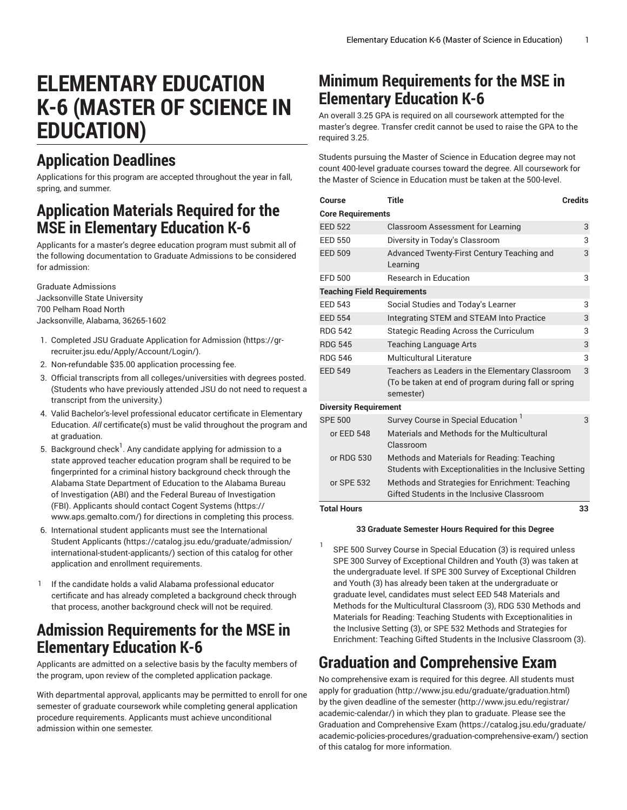# **ELEMENTARY EDUCATION K-6 (MASTER OF SCIENCE IN EDUCATION)**

## **Application Deadlines**

Applications for this program are accepted throughout the year in fall, spring, and summer.

#### **Application Materials Required for the MSE in Elementary Education K-6**

Applicants for a master's degree education program must submit all of the following documentation to Graduate Admissions to be considered for admission:

Graduate Admissions Jacksonville State University 700 Pelham Road North Jacksonville, Alabama, 36265-1602

- 1. Completed JSU [Graduate Application for Admission \(https://gr](https://gr-recruiter.jsu.edu/Apply/Account/Login/)[recruiter.jsu.edu/Apply/Account/Login/](https://gr-recruiter.jsu.edu/Apply/Account/Login/)).
- 2. Non-refundable \$35.00 application processing fee.
- 3. Official transcripts from all colleges/universities with degrees posted. (Students who have previously attended JSU do not need to request a transcript from the university.)
- 4. Valid Bachelor's-level professional educator certificate in Elementary Education. *All* certificate(s) must be valid throughout the program and at graduation.
- 5. Background check<sup>1</sup>. Any candidate applying for admission to a state approved teacher education program shall be required to be fingerprinted for a criminal history background check through the Alabama State Department of Education to the Alabama Bureau of Investigation (ABI) and the Federal Bureau of Investigation (FBI). Applicants should contact [Cogent Systems \(https://](https://www.aps.gemalto.com/) [www.aps.gemalto.com/\)](https://www.aps.gemalto.com/) for directions in completing this process.
- 6. International student applicants must see the [International](https://catalog.jsu.edu/graduate/admission/international-student-applicants/) [Student Applicants \(https://catalog.jsu.edu/graduate/admission/](https://catalog.jsu.edu/graduate/admission/international-student-applicants/) [international-student-applicants/](https://catalog.jsu.edu/graduate/admission/international-student-applicants/)) section of this catalog for other application and enrollment requirements.
- 1 If the candidate holds a valid Alabama professional educator certificate and has already completed a background check through that process, another background check will not be required.

#### **Admission Requirements for the MSE in Elementary Education K-6**

Applicants are admitted on a selective basis by the faculty members of the program, upon review of the completed application package.

With departmental approval, applicants may be permitted to enroll for one semester of graduate coursework while completing general application procedure requirements. Applicants must achieve unconditional admission within one semester.

### **Minimum Requirements for the MSE in Elementary Education K-6**

An overall 3.25 GPA is required on all coursework attempted for the master's degree. Transfer credit cannot be used to raise the GPA to the required 3.25.

Students pursuing the Master of Science in Education degree may not count 400-level graduate courses toward the degree. All coursework for the Master of Science in Education must be taken at the 500-level.

| Course                             | <b>Title</b>                                                                                                         | <b>Credits</b> |
|------------------------------------|----------------------------------------------------------------------------------------------------------------------|----------------|
| <b>Core Requirements</b>           |                                                                                                                      |                |
| <b>EED 522</b>                     | <b>Classroom Assessment for Learning</b>                                                                             | 3              |
| FFD 550                            | Diversity in Today's Classroom                                                                                       | 3              |
| <b>EED 509</b>                     | Advanced Twenty-First Century Teaching and<br>Learning                                                               | 3              |
| <b>EFD 500</b>                     | <b>Research in Education</b>                                                                                         | 3              |
| <b>Teaching Field Requirements</b> |                                                                                                                      |                |
| <b>FFD 543</b>                     | Social Studies and Today's Learner                                                                                   | 3              |
| <b>FFD 554</b>                     | Integrating STEM and STEAM Into Practice                                                                             | 3              |
| <b>RDG 542</b>                     | Stategic Reading Across the Curriculum                                                                               | 3              |
| <b>RDG 545</b>                     | <b>Teaching Language Arts</b>                                                                                        | 3              |
| <b>RDG 546</b>                     | Multicultural Literature                                                                                             | 3              |
| <b>EED 549</b>                     | Teachers as Leaders in the Elementary Classroom<br>(To be taken at end of program during fall or spring<br>semester) | 3              |
| <b>Diversity Requirement</b>       |                                                                                                                      |                |
| <b>SPE 500</b>                     | Survey Course in Special Education <sup>1</sup>                                                                      | 3              |
| or EED 548                         | Materials and Methods for the Multicultural<br>Classroom                                                             |                |
| or RDG 530                         | Methods and Materials for Reading: Teaching<br>Students with Exceptionalities in the Inclusive Setting               |                |
| or SPE 532                         | Methods and Strategies for Enrichment: Teaching<br>Gifted Students in the Inclusive Classroom                        |                |
| <b>Total Hours</b>                 |                                                                                                                      | 33             |

#### **33 Graduate Semester Hours Required for this Degree**

1 SPE 500 Survey Course in Special Education (3) is required unless SPE 300 Survey of Exceptional Children and Youth (3) was taken at the undergraduate level. If SPE 300 Survey of Exceptional Children and Youth (3) has already been taken at the undergraduate or graduate level, candidates must select EED 548 Materials and Methods for the Multicultural Classroom (3), RDG 530 Methods and Materials for Reading: Teaching Students with Exceptionalities in the Inclusive Setting (3), or SPE 532 Methods and Strategies for Enrichment: Teaching Gifted Students in the Inclusive Classroom (3).

### **Graduation and Comprehensive Exam**

No comprehensive exam is required for this degree. All students must [apply for graduation](http://www.jsu.edu/graduate/graduation.html) (<http://www.jsu.edu/graduate/graduation.html>) by the given [deadline of the semester](http://www.jsu.edu/registrar/academic-calendar/) [\(http://www.jsu.edu/registrar/](http://www.jsu.edu/registrar/academic-calendar/) [academic-calendar/](http://www.jsu.edu/registrar/academic-calendar/)) in which they plan to graduate. Please see the Graduation and [Comprehensive](https://catalog.jsu.edu/graduate/academic-policies-procedures/graduation-comprehensive-exam/) Exam [\(https://catalog.jsu.edu/graduate/](https://catalog.jsu.edu/graduate/academic-policies-procedures/graduation-comprehensive-exam/) [academic-policies-procedures/graduation-comprehensive-exam/](https://catalog.jsu.edu/graduate/academic-policies-procedures/graduation-comprehensive-exam/)) section of this catalog for more information.